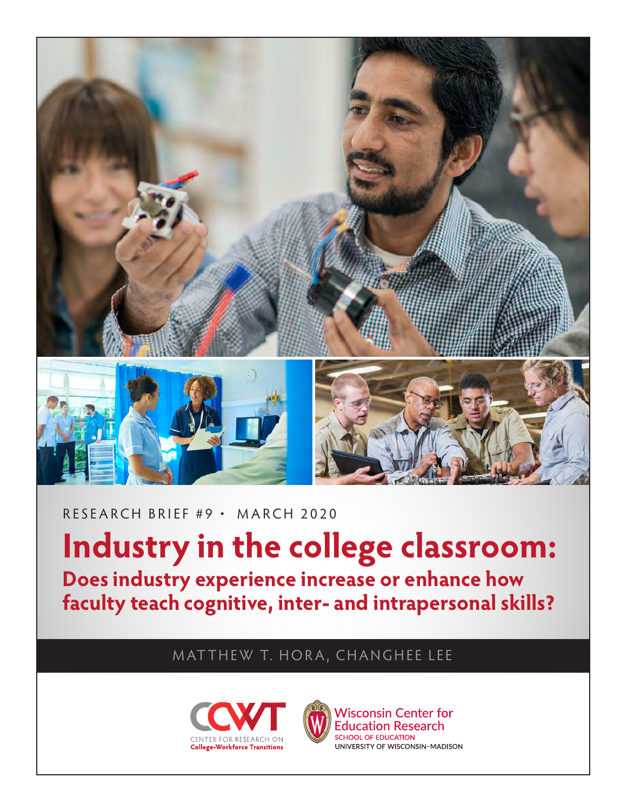

RESEARCH BRIEF #9 • MARCH 2020

**Industry in the college classroom: Does industry experience increase or enhance how faculty teach cognitive, inter- and intrapersonal skills?**

MATTHEW T. HORA, CHANGHEE LEE





**Wisconsin Center for Education Research SCHOOL OF EDUCATION** UNIVERSITY OF WISCONSIN-MADISON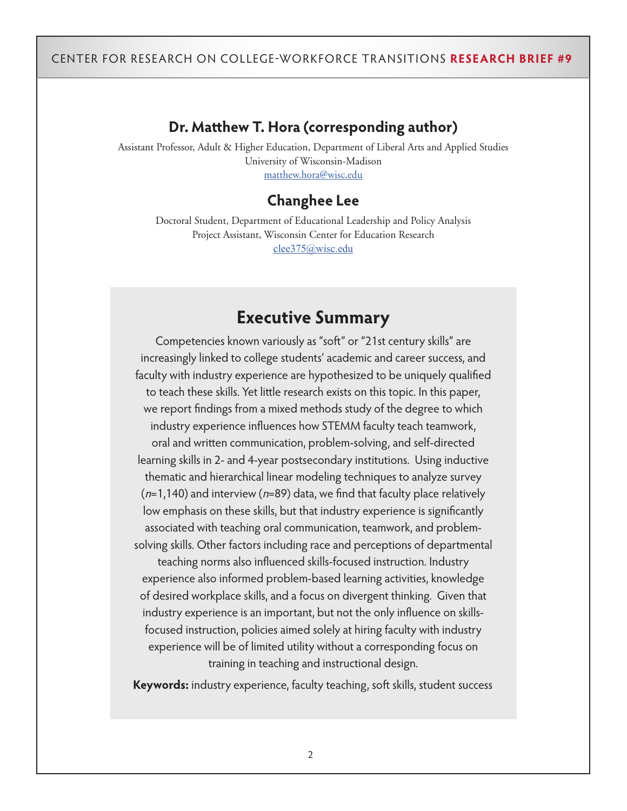## **Dr. Matthew T. Hora (corresponding author)**

Assistant Professor, Adult & Higher Education, Department of Liberal Arts and Applied Studies University of Wisconsin-Madison [matthew.hora@wisc.edu](mailto:matthew.hora%40wisc.edu?subject=)

## **Changhee Lee**

Doctoral Student, Department of Educational Leadership and Policy Analysis Project Assistant, Wisconsin Center for Education Research [clee375@wisc.edu](mailto:clee375@wisc.edu)

# **Executive Summary**

Competencies known variously as "soft" or "21st century skills" are increasingly linked to college students' academic and career success, and faculty with industry experience are hypothesized to be uniquely qualified to teach these skills. Yet little research exists on this topic. In this paper, we report findings from a mixed methods study of the degree to which industry experience influences how STEMM faculty teach teamwork, oral and written communication, problem-solving, and self-directed learning skills in 2- and 4-year postsecondary institutions. Using inductive thematic and hierarchical linear modeling techniques to analyze survey  $(n=1,140)$  and interview (n=89) data, we find that faculty place relatively low emphasis on these skills, but that industry experience is significantly associated with teaching oral communication, teamwork, and problemsolving skills. Other factors including race and perceptions of departmental

teaching norms also influenced skills-focused instruction. Industry experience also informed problem-based learning activities, knowledge of desired workplace skills, and a focus on divergent thinking. Given that industry experience is an important, but not the only influence on skillsfocused instruction, policies aimed solely at hiring faculty with industry experience will be of limited utility without a corresponding focus on training in teaching and instructional design.

**Keywords:** industry experience, faculty teaching, soft skills, student success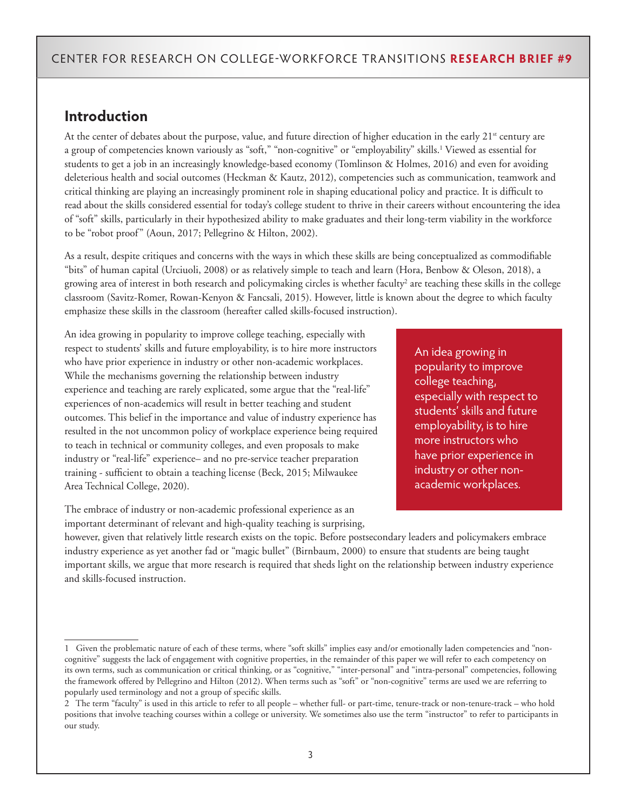### **Introduction**

At the center of debates about the purpose, value, and future direction of higher education in the early 21<sup>st</sup> century are a group of competencies known variously as "soft," "non-cognitive" or "employability" skills.<sup>1</sup> Viewed as essential for students to get a job in an increasingly knowledge-based economy (Tomlinson & Holmes, 2016) and even for avoiding deleterious health and social outcomes (Heckman & Kautz, 2012), competencies such as communication, teamwork and critical thinking are playing an increasingly prominent role in shaping educational policy and practice. It is difficult to read about the skills considered essential for today's college student to thrive in their careers without encountering the idea of "soft" skills, particularly in their hypothesized ability to make graduates and their long-term viability in the workforce to be "robot proof" (Aoun, 2017; Pellegrino & Hilton, 2002).

As a result, despite critiques and concerns with the ways in which these skills are being conceptualized as commodifiable "bits" of human capital (Urciuoli, 2008) or as relatively simple to teach and learn (Hora, Benbow & Oleson, 2018), a growing area of interest in both research and policymaking circles is whether faculty<sup>2</sup> are teaching these skills in the college classroom (Savitz-Romer, Rowan-Kenyon & Fancsali, 2015). However, little is known about the degree to which faculty emphasize these skills in the classroom (hereafter called skills-focused instruction).

An idea growing in popularity to improve college teaching, especially with respect to students' skills and future employability, is to hire more instructors who have prior experience in industry or other non-academic workplaces. While the mechanisms governing the relationship between industry experience and teaching are rarely explicated, some argue that the "real-life" experiences of non-academics will result in better teaching and student outcomes. This belief in the importance and value of industry experience has resulted in the not uncommon policy of workplace experience being required to teach in technical or community colleges, and even proposals to make industry or "real-life" experience– and no pre-service teacher preparation training - sufficient to obtain a teaching license (Beck, 2015; Milwaukee Area Technical College, 2020).

The embrace of industry or non-academic professional experience as an important determinant of relevant and high-quality teaching is surprising,

An idea growing in popularity to improve college teaching, especially with respect to students' skills and future employability, is to hire more instructors who have prior experience in industry or other nonacademic workplaces.

however, given that relatively little research exists on the topic. Before postsecondary leaders and policymakers embrace industry experience as yet another fad or "magic bullet" (Birnbaum, 2000) to ensure that students are being taught important skills, we argue that more research is required that sheds light on the relationship between industry experience and skills-focused instruction.

<sup>1</sup> Given the problematic nature of each of these terms, where "soft skills" implies easy and/or emotionally laden competencies and "noncognitive" suggests the lack of engagement with cognitive properties, in the remainder of this paper we will refer to each competency on its own terms, such as communication or critical thinking, or as "cognitive," "inter-personal" and "intra-personal" competencies, following the framework offered by Pellegrino and Hilton (2012). When terms such as "soft" or "non-cognitive" terms are used we are referring to popularly used terminology and not a group of specific skills.

<sup>&</sup>lt;sup>2</sup> The term "faculty" is used in this article to refer to all people – whether full- or part-time, tenure-track or non-tenure-track – who hold positions that involve teaching courses within a college or university. We sometimes also use the term "instructor" to refer to participants in our study.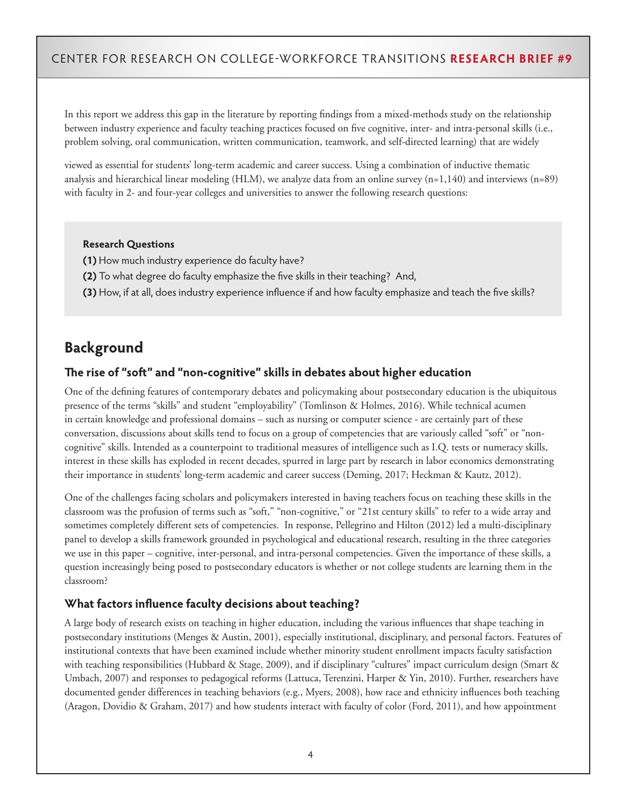In this report we address this gap in the literature by reporting findings from a mixed-methods study on the relationship between industry experience and faculty teaching practices focused on five cognitive, inter- and intra-personal skills (i.e., problem solving, oral communication, written communication, teamwork, and self-directed learning) that are widely

viewed as essential for students' long-term academic and career success. Using a combination of inductive thematic analysis and hierarchical linear modeling (HLM), we analyze data from an online survey  $(n=1,140)$  and interviews  $(n=89)$ with faculty in 2- and four-year colleges and universities to answer the following research questions:

#### **Research Questions**

- **(1)** How much industry experience do faculty have?
- **(2)** To what degree do faculty emphasize the five skills in their teaching? And,
- **(3)** How, if at all, does industry experience influence if and how faculty emphasize and teach the five skills?

## **Background**

#### **The rise of "soft" and "non-cognitive" skills in debates about higher education**

One of the defining features of contemporary debates and policymaking about postsecondary education is the ubiquitous presence of the terms "skills" and student "employability" (Tomlinson & Holmes, 2016). While technical acumen in certain knowledge and professional domains – such as nursing or computer science - are certainly part of these conversation, discussions about skills tend to focus on a group of competencies that are variously called "soft" or "noncognitive" skills. Intended as a counterpoint to traditional measures of intelligence such as I.Q. tests or numeracy skills, interest in these skills has exploded in recent decades, spurred in large part by research in labor economics demonstrating their importance in students' long-term academic and career success (Deming, 2017; Heckman & Kautz, 2012).

One of the challenges facing scholars and policymakers interested in having teachers focus on teaching these skills in the classroom was the profusion of terms such as "soft," "non-cognitive," or "21st century skills" to refer to a wide array and sometimes completely different sets of competencies. In response, Pellegrino and Hilton (2012) led a multi-disciplinary panel to develop a skills framework grounded in psychological and educational research, resulting in the three categories we use in this paper – cognitive, inter-personal, and intra-personal competencies. Given the importance of these skills, a question increasingly being posed to postsecondary educators is whether or not college students are learning them in the classroom?

### **What factors influence faculty decisions about teaching?**

A large body of research exists on teaching in higher education, including the various influences that shape teaching in postsecondary institutions (Menges & Austin, 2001), especially institutional, disciplinary, and personal factors. Features of institutional contexts that have been examined include whether minority student enrollment impacts faculty satisfaction with teaching responsibilities (Hubbard & Stage, 2009), and if disciplinary "cultures" impact curriculum design (Smart & Umbach, 2007) and responses to pedagogical reforms (Lattuca, Terenzini, Harper & Yin, 2010). Further, researchers have documented gender differences in teaching behaviors (e.g., Myers, 2008), how race and ethnicity influences both teaching (Aragon, Dovidio & Graham, 2017) and how students interact with faculty of color (Ford, 2011), and how appointment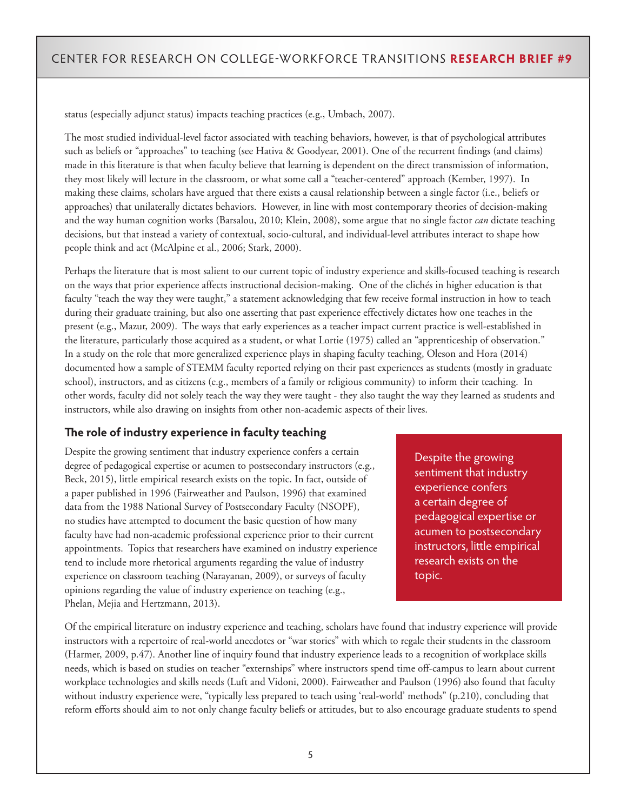status (especially adjunct status) impacts teaching practices (e.g., Umbach, 2007).

The most studied individual-level factor associated with teaching behaviors, however, is that of psychological attributes such as beliefs or "approaches" to teaching (see Hativa & Goodyear, 2001). One of the recurrent findings (and claims) made in this literature is that when faculty believe that learning is dependent on the direct transmission of information, they most likely will lecture in the classroom, or what some call a "teacher-centered" approach (Kember, 1997). In making these claims, scholars have argued that there exists a causal relationship between a single factor (i.e., beliefs or approaches) that unilaterally dictates behaviors. However, in line with most contemporary theories of decision-making and the way human cognition works (Barsalou, 2010; Klein, 2008), some argue that no single factor *can* dictate teaching decisions, but that instead a variety of contextual, socio-cultural, and individual-level attributes interact to shape how people think and act (McAlpine et al., 2006; Stark, 2000).

Perhaps the literature that is most salient to our current topic of industry experience and skills-focused teaching is research on the ways that prior experience affects instructional decision-making. One of the clichés in higher education is that faculty "teach the way they were taught," a statement acknowledging that few receive formal instruction in how to teach during their graduate training, but also one asserting that past experience effectively dictates how one teaches in the present (e.g., Mazur, 2009). The ways that early experiences as a teacher impact current practice is well-established in the literature, particularly those acquired as a student, or what Lortie (1975) called an "apprenticeship of observation." In a study on the role that more generalized experience plays in shaping faculty teaching, Oleson and Hora (2014) documented how a sample of STEMM faculty reported relying on their past experiences as students (mostly in graduate school), instructors, and as citizens (e.g., members of a family or religious community) to inform their teaching. In other words, faculty did not solely teach the way they were taught - they also taught the way they learned as students and instructors, while also drawing on insights from other non-academic aspects of their lives.

### **The role of industry experience in faculty teaching**

Despite the growing sentiment that industry experience confers a certain degree of pedagogical expertise or acumen to postsecondary instructors (e.g., Beck, 2015), little empirical research exists on the topic. In fact, outside of a paper published in 1996 (Fairweather and Paulson, 1996) that examined data from the 1988 National Survey of Postsecondary Faculty (NSOPF), no studies have attempted to document the basic question of how many faculty have had non-academic professional experience prior to their current appointments. Topics that researchers have examined on industry experience tend to include more rhetorical arguments regarding the value of industry experience on classroom teaching (Narayanan, 2009), or surveys of faculty opinions regarding the value of industry experience on teaching (e.g., Phelan, Mejia and Hertzmann, 2013).

Despite the growing sentiment that industry experience confers a certain degree of pedagogical expertise or acumen to postsecondary instructors, little empirical research exists on the topic.

Of the empirical literature on industry experience and teaching, scholars have found that industry experience will provide instructors with a repertoire of real-world anecdotes or "war stories" with which to regale their students in the classroom (Harmer, 2009, p.47). Another line of inquiry found that industry experience leads to a recognition of workplace skills needs, which is based on studies on teacher "externships" where instructors spend time off-campus to learn about current workplace technologies and skills needs (Luft and Vidoni, 2000). Fairweather and Paulson (1996) also found that faculty without industry experience were, "typically less prepared to teach using 'real-world' methods" (p.210), concluding that reform efforts should aim to not only change faculty beliefs or attitudes, but to also encourage graduate students to spend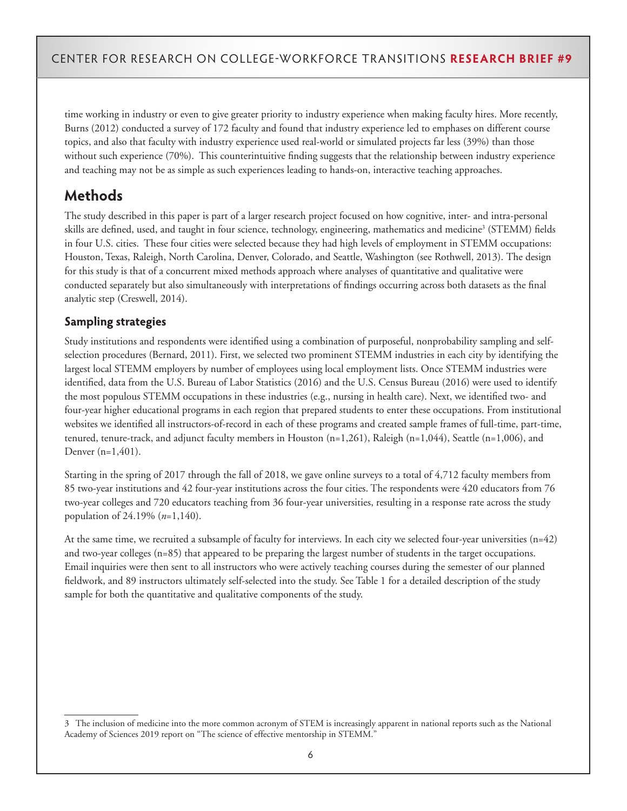time working in industry or even to give greater priority to industry experience when making faculty hires. More recently, Burns (2012) conducted a survey of 172 faculty and found that industry experience led to emphases on different course topics, and also that faculty with industry experience used real-world or simulated projects far less (39%) than those without such experience (70%). This counterintuitive finding suggests that the relationship between industry experience and teaching may not be as simple as such experiences leading to hands-on, interactive teaching approaches.

## **Methods**

The study described in this paper is part of a larger research project focused on how cognitive, inter- and intra-personal skills are defined, used, and taught in four science, technology, engineering, mathematics and medicine<sup>3</sup> (STEMM) fields in four U.S. cities. These four cities were selected because they had high levels of employment in STEMM occupations: Houston, Texas, Raleigh, North Carolina, Denver, Colorado, and Seattle, Washington (see Rothwell, 2013). The design for this study is that of a concurrent mixed methods approach where analyses of quantitative and qualitative were conducted separately but also simultaneously with interpretations of findings occurring across both datasets as the final analytic step (Creswell, 2014).

### **Sampling strategies**

Study institutions and respondents were identified using a combination of purposeful, nonprobability sampling and selfselection procedures (Bernard, 2011). First, we selected two prominent STEMM industries in each city by identifying the largest local STEMM employers by number of employees using local employment lists. Once STEMM industries were identified, data from the U.S. Bureau of Labor Statistics (2016) and the U.S. Census Bureau (2016) were used to identify the most populous STEMM occupations in these industries (e.g., nursing in health care). Next, we identified two- and four-year higher educational programs in each region that prepared students to enter these occupations. From institutional websites we identified all instructors-of-record in each of these programs and created sample frames of full-time, part-time, tenured, tenure-track, and adjunct faculty members in Houston (n=1,261), Raleigh (n=1,044), Seattle (n=1,006), and Denver (n=1,401).

Starting in the spring of 2017 through the fall of 2018, we gave online surveys to a total of 4,712 faculty members from 85 two-year institutions and 42 four-year institutions across the four cities. The respondents were 420 educators from 76 two-year colleges and 720 educators teaching from 36 four-year universities, resulting in a response rate across the study population of 24.19% (*n*=1,140).

At the same time, we recruited a subsample of faculty for interviews. In each city we selected four-year universities (n=42) and two-year colleges (n=85) that appeared to be preparing the largest number of students in the target occupations. Email inquiries were then sent to all instructors who were actively teaching courses during the semester of our planned fieldwork, and 89 instructors ultimately self-selected into the study. See Table 1 for a detailed description of the study sample for both the quantitative and qualitative components of the study.

<sup>3</sup> The inclusion of medicine into the more common acronym of STEM is increasingly apparent in national reports such as the National Academy of Sciences 2019 report on "The science of effective mentorship in STEMM."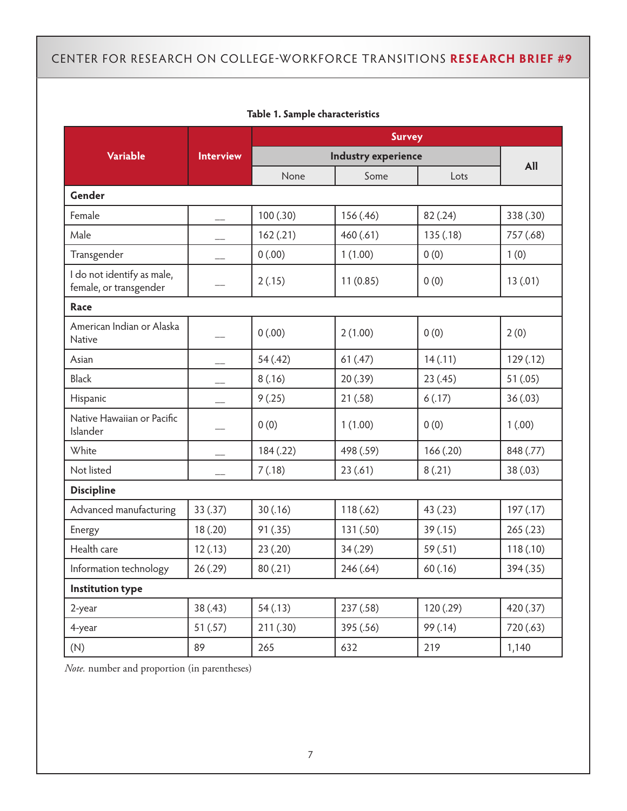|                                                      |                  |           | <b>Survey</b>       |           |           |
|------------------------------------------------------|------------------|-----------|---------------------|-----------|-----------|
| <b>Variable</b>                                      | <b>Interview</b> |           | Industry experience |           | All       |
|                                                      |                  | None      | Some                | Lots      |           |
| Gender                                               |                  |           |                     |           |           |
| Female                                               |                  | 100(.30)  | 156 (.46)           | 82 (.24)  | 338 (.30) |
| Male                                                 |                  | 162(.21)  | 460(.61)            | 135(.18)  | 757 (.68) |
| Transgender                                          |                  | 0(.00)    | 1(1.00)             | 0(0)      | 1(0)      |
| I do not identify as male,<br>female, or transgender |                  | 2(.15)    | 11(0.85)            | 0(0)      | 13(0.01)  |
| Race                                                 |                  |           |                     |           |           |
| American Indian or Alaska<br><b>Native</b>           |                  | 0(.00)    | 2(1.00)             | 0(0)      | 2(0)      |
| Asian                                                |                  | 54(.42)   | 61(.47)             | 14(.11)   | 129(.12)  |
| <b>Black</b>                                         |                  | 8(.16)    | 20(.39)             | 23(.45)   | 51(.05)   |
| Hispanic                                             |                  | 9(.25)    | 21(.58)             | 6(.17)    | 36(.03)   |
| Native Hawaiian or Pacific<br>Islander               |                  | 0(0)      | 1(1.00)             | 0(0)      | 1(.00)    |
| White                                                |                  | 184 (.22) | 498 (.59)           | 166(.20)  | 848 (.77) |
| Not listed                                           |                  | 7(.18)    | 23(.61)             | 8(.21)    | 38 (.03)  |
| <b>Discipline</b>                                    |                  |           |                     |           |           |
| Advanced manufacturing                               | 33 (.37)         | 30(.16)   | 118(.62)            | 43 (.23)  | 197(0.17) |
| Energy                                               | 18(.20)          | 91 (.35)  | 131 (.50)           | 39(.15)   | 265(.23)  |
| Health care                                          | 12(.13)          | 23(.20)   | 34(.29)             | 59 (.51)  | 118(.10)  |
| Information technology                               | 26(.29)          | 80(.21)   | 246 (.64)           | 60 (.16)  | 394 (.35) |
| <b>Institution type</b>                              |                  |           |                     |           |           |
| 2-year                                               | 38(.43)          | 54(.13)   | 237 (.58)           | 120 (.29) | 420 (.37) |
| 4-year                                               | 51(.57)          | 211 (.30) | 395 (.56)           | 99 (.14)  | 720 (.63) |
| (N)                                                  | 89               | 265       | 632                 | 219       | 1,140     |

### **Table 1. Sample characteristics**

*Note.* number and proportion (in parentheses)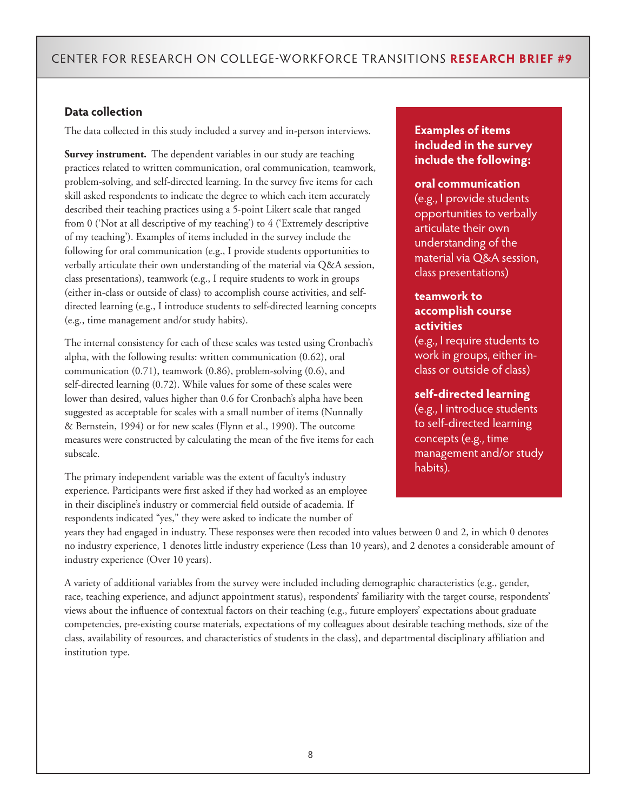### **Data collection**

The data collected in this study included a survey and in-person interviews.

**Survey instrument.** The dependent variables in our study are teaching practices related to written communication, oral communication, teamwork, problem-solving, and self-directed learning. In the survey five items for each skill asked respondents to indicate the degree to which each item accurately described their teaching practices using a 5-point Likert scale that ranged from 0 ('Not at all descriptive of my teaching') to 4 ('Extremely descriptive of my teaching'). Examples of items included in the survey include the following for oral communication (e.g., I provide students opportunities to verbally articulate their own understanding of the material via Q&A session, class presentations), teamwork (e.g., I require students to work in groups (either in-class or outside of class) to accomplish course activities, and selfdirected learning (e.g., I introduce students to self-directed learning concepts (e.g., time management and/or study habits).

The internal consistency for each of these scales was tested using Cronbach's alpha, with the following results: written communication (0.62), oral communication (0.71), teamwork (0.86), problem-solving (0.6), and self-directed learning (0.72). While values for some of these scales were lower than desired, values higher than 0.6 for Cronbach's alpha have been suggested as acceptable for scales with a small number of items (Nunnally & Bernstein, 1994) or for new scales (Flynn et al., 1990). The outcome measures were constructed by calculating the mean of the five items for each subscale.

The primary independent variable was the extent of faculty's industry experience. Participants were first asked if they had worked as an employee in their discipline's industry or commercial field outside of academia. If respondents indicated "yes," they were asked to indicate the number of

### **Examples of items included in the survey include the following:**

#### **oral communication**

(e.g., I provide students opportunities to verbally articulate their own understanding of the material via Q&A session, class presentations)

### **teamwork to accomplish course activities**

(e.g., I require students to work in groups, either inclass or outside of class)

#### **self-directed learning**

(e.g., I introduce students to self-directed learning concepts (e.g., time management and/or study habits).

years they had engaged in industry. These responses were then recoded into values between 0 and 2, in which 0 denotes no industry experience, 1 denotes little industry experience (Less than 10 years), and 2 denotes a considerable amount of industry experience (Over 10 years).

A variety of additional variables from the survey were included including demographic characteristics (e.g., gender, race, teaching experience, and adjunct appointment status), respondents' familiarity with the target course, respondents' views about the influence of contextual factors on their teaching (e.g., future employers' expectations about graduate competencies, pre-existing course materials, expectations of my colleagues about desirable teaching methods, size of the class, availability of resources, and characteristics of students in the class), and departmental disciplinary affiliation and institution type.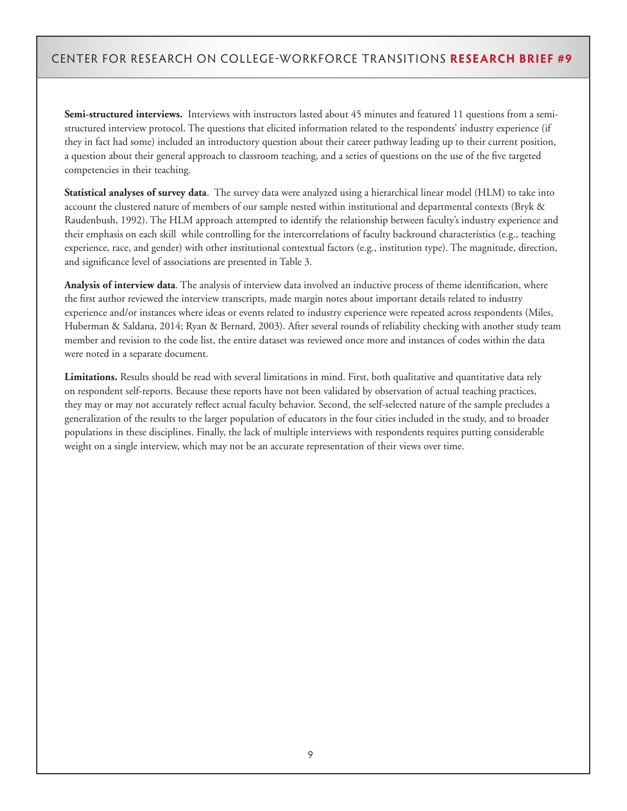**Semi-structured interviews.** Interviews with instructors lasted about 45 minutes and featured 11 questions from a semistructured interview protocol. The questions that elicited information related to the respondents' industry experience (if they in fact had some) included an introductory question about their career pathway leading up to their current position, a question about their general approach to classroom teaching, and a series of questions on the use of the five targeted competencies in their teaching.

**Statistical analyses of survey data**. The survey data were analyzed using a hierarchical linear model (HLM) to take into account the clustered nature of members of our sample nested within institutional and departmental contexts (Bryk & Raudenbush, 1992). The HLM approach attempted to identify the relationship between faculty's industry experience and their emphasis on each skill while controlling for the intercorrelations of faculty backround characteristics (e.g., teaching experience, race, and gender) with other institutional contextual factors (e.g., institution type). The magnitude, direction, and significance level of associations are presented in Table 3.

**Analysis of interview data**. The analysis of interview data involved an inductive process of theme identification, where the first author reviewed the interview transcripts, made margin notes about important details related to industry experience and/or instances where ideas or events related to industry experience were repeated across respondents (Miles, Huberman & Saldana, 2014; Ryan & Bernard, 2003). After several rounds of reliability checking with another study team member and revision to the code list, the entire dataset was reviewed once more and instances of codes within the data were noted in a separate document.

**Limitations.** Results should be read with several limitations in mind. First, both qualitative and quantitative data rely on respondent self-reports. Because these reports have not been validated by observation of actual teaching practices, they may or may not accurately reflect actual faculty behavior. Second, the self-selected nature of the sample precludes a generalization of the results to the larger population of educators in the four cities included in the study, and to broader populations in these disciplines. Finally, the lack of multiple interviews with respondents requires putting considerable weight on a single interview, which may not be an accurate representation of their views over time.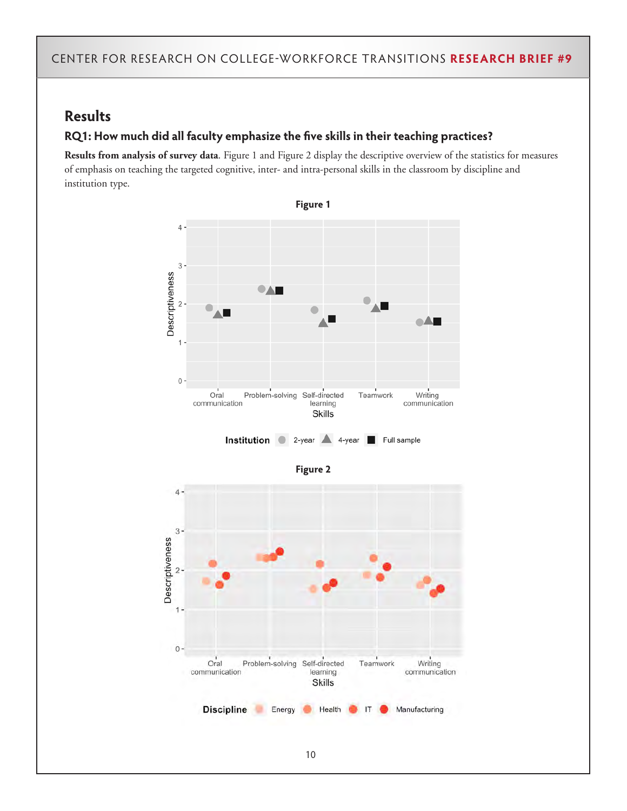## **Results**

### **RQ1: How much did all faculty emphasize the five skills in their teaching practices?**

**Results from analysis of survey data**. Figure 1 and Figure 2 display the descriptive overview of the statistics for measures of emphasis on teaching the targeted cognitive, inter- and intra-personal skills in the classroom by discipline and institution type.

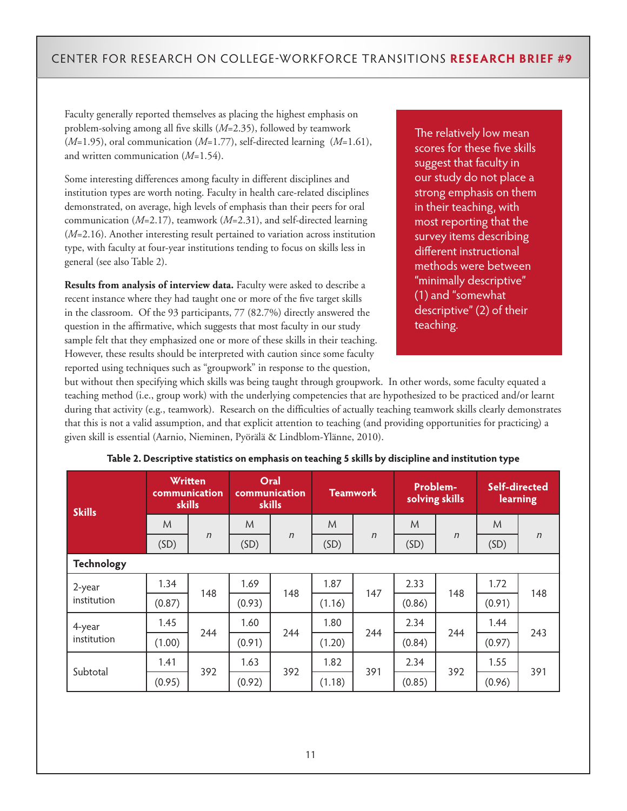Faculty generally reported themselves as placing the highest emphasis on problem-solving among all five skills (*M*=2.35), followed by teamwork (*M*=1.95), oral communication (*M*=1.77), self-directed learning (*M*=1.61), and written communication (*M*=1.54).

Some interesting differences among faculty in different disciplines and institution types are worth noting. Faculty in health care-related disciplines demonstrated, on average, high levels of emphasis than their peers for oral communication (*M*=2.17), teamwork (*M*=2.31), and self-directed learning (*M*=2.16). Another interesting result pertained to variation across institution type, with faculty at four-year institutions tending to focus on skills less in general (see also Table 2).

**Results from analysis of interview data.** Faculty were asked to describe a recent instance where they had taught one or more of the five target skills in the classroom. Of the 93 participants, 77 (82.7%) directly answered the question in the affirmative, which suggests that most faculty in our study sample felt that they emphasized one or more of these skills in their teaching. However, these results should be interpreted with caution since some faculty reported using techniques such as "groupwork" in response to the question,

The relatively low mean scores for these five skills suggest that faculty in our study do not place a strong emphasis on them in their teaching, with most reporting that the survey items describing different instructional methods were between "minimally descriptive" (1) and "somewhat descriptive" (2) of their teaching.

but without then specifying which skills was being taught through groupwork. In other words, some faculty equated a teaching method (i.e., group work) with the underlying competencies that are hypothesized to be practiced and/or learnt during that activity (e.g., teamwork). Research on the difficulties of actually teaching teamwork skills clearly demonstrates that this is not a valid assumption, and that explicit attention to teaching (and providing opportunities for practicing) a given skill is essential (Aarnio, Nieminen, Pyörälä & Lindblom-Ylänne, 2010).

| <b>Skills</b>     |        | <b>Written</b><br>communication<br>skills |        | Oral<br>communication<br>skills |        | <b>Teamwork</b> |        | Problem-<br>solving skills | Self-directed<br>learning |        |
|-------------------|--------|-------------------------------------------|--------|---------------------------------|--------|-----------------|--------|----------------------------|---------------------------|--------|
|                   | M      |                                           | M      |                                 | M      |                 | M      |                            | M                         |        |
|                   | (SD)   | $\eta$                                    | (SD)   | $\eta$                          | (SD)   | $\eta$          | (SD)   | $\eta$                     | (SD)                      | $\eta$ |
| <b>Technology</b> |        |                                           |        |                                 |        |                 |        |                            |                           |        |
| 2-year            | 1.34   | 148                                       | 1.69   | 148                             | 1.87   | 147             | 2.33   | 148                        | 1.72                      | 148    |
| institution       | (0.87) |                                           | (0.93) |                                 | (1.16) |                 | (0.86) |                            | (0.91)                    |        |
| 4-year            | 1.45   | 244                                       | 1.60   | 244                             | 1.80   | 244             | 2.34   | 244                        | 1.44                      | 243    |
| institution       | (1.00) |                                           | (0.91) |                                 | (1.20) |                 | (0.84) |                            | (0.97)                    |        |
| Subtotal          | 1.41   | 392                                       | 1.63   | 392                             | 1.82   | 391             | 2.34   | 392                        | 1.55                      | 391    |
|                   | (0.95) |                                           | (0.92) |                                 | (1.18) |                 | (0.85) |                            | (0.96)                    |        |

| Table 2. Descriptive statistics on emphasis on teaching 5 skills by discipline and institution type |  |  |
|-----------------------------------------------------------------------------------------------------|--|--|
|                                                                                                     |  |  |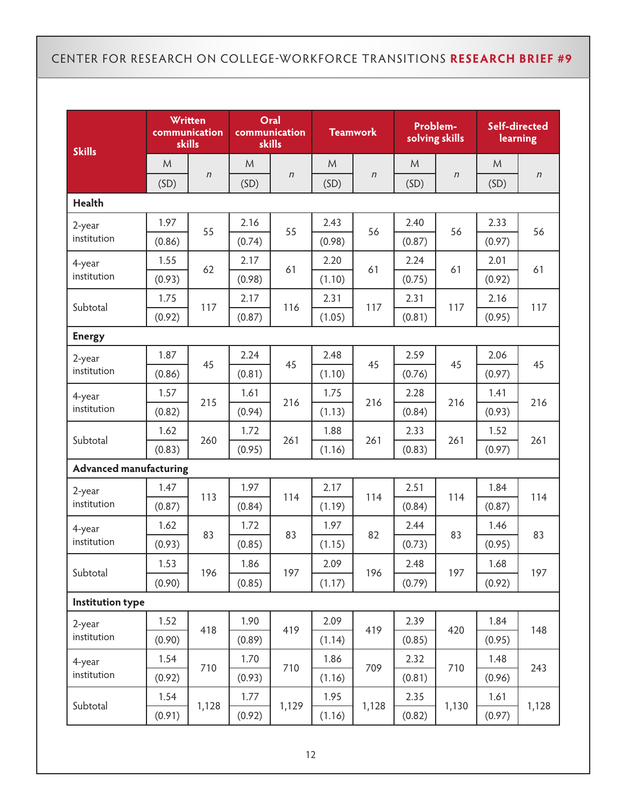| <b>Skills</b>                 |        | Written<br>communication<br><b>skills</b> | communication<br>skills | Oral   |        | <b>Teamwork</b> |        | Problem-<br>solving skills | Self-directed<br>learning |        |
|-------------------------------|--------|-------------------------------------------|-------------------------|--------|--------|-----------------|--------|----------------------------|---------------------------|--------|
|                               | M      |                                           | M                       |        | M      |                 | M      |                            | M                         |        |
|                               | (SD)   | $\eta$                                    | (SD)                    | $\eta$ | (SD)   | $\eta$          | (SD)   | $\boldsymbol{n}$           | (SD)                      | $\eta$ |
| <b>Health</b>                 |        |                                           |                         |        |        |                 |        |                            |                           |        |
| 2-year                        | 1.97   | 55                                        | 2.16                    | 55     | 2.43   | 56              | 2.40   | 56                         | 2.33                      | 56     |
| institution                   | (0.86) |                                           | (0.74)                  |        | (0.98) |                 | (0.87) |                            | (0.97)                    |        |
| 4-year                        | 1.55   | 62                                        | 2.17                    | 61     | 2.20   | 61              | 2.24   | 61                         | 2.01                      | 61     |
| institution                   | (0.93) |                                           | (0.98)                  |        | (1.10) |                 | (0.75) |                            | (0.92)                    |        |
| Subtotal                      | 1.75   | 117                                       | 2.17                    | 116    | 2.31   | 117             | 2.31   | 117                        | 2.16                      | 117    |
|                               | (0.92) |                                           | (0.87)                  |        | (1.05) |                 | (0.81) |                            | (0.95)                    |        |
| <b>Energy</b>                 |        |                                           |                         |        |        |                 |        |                            |                           |        |
| 2-year                        | 1.87   | 45                                        | 2.24                    | 45     | 2.48   | 45              | 2.59   | 45                         | 2.06                      | 45     |
| institution                   | (0.86) |                                           | (0.81)                  |        | (1.10) |                 | (0.76) |                            | (0.97)                    |        |
| 4-year                        | 1.57   | 215                                       | 1.61                    | 216    | 1.75   | 216             | 2.28   | 216                        | 1.41                      | 216    |
| institution                   | (0.82) |                                           | (0.94)                  |        | (1.13) |                 | (0.84) |                            | (0.93)                    |        |
| Subtotal                      | 1.62   | 260                                       | 1.72                    | 261    | 1.88   | 261             | 2.33   | 261                        | 1.52                      | 261    |
|                               | (0.83) |                                           | (0.95)                  |        | (1.16) |                 | (0.83) |                            | (0.97)                    |        |
| <b>Advanced manufacturing</b> |        |                                           |                         |        |        |                 |        |                            |                           |        |
| 2-year                        | 1.47   | 113                                       | 1.97                    | 114    | 2.17   | 114             | 2.51   | 114                        | 1.84                      | 114    |
| institution                   | (0.87) |                                           | (0.84)                  |        | (1.19) |                 | (0.84) |                            | (0.87)                    |        |
| 4-year                        | 1.62   | 83                                        | 1.72                    | 83     | 1.97   | 82              | 2.44   | 83                         | 1.46                      | 83     |
| institution                   | (0.93) |                                           | (0.85)                  |        | (1.15) |                 | (0.73) |                            | (0.95)                    |        |
| Subtotal                      | 1.53   | 196                                       | 1.86                    | 197    | 2.09   | 196             | 2.48   | 197                        | 1.68                      | 197    |
|                               | (0.90) |                                           | (0.85)                  |        | (1.17) |                 | (0.79) |                            | (0.92)                    |        |
| <b>Institution type</b>       |        |                                           |                         |        |        |                 |        |                            |                           |        |
| 2-year                        | 1.52   | 418                                       | 1.90                    | 419    | 2.09   | 419             | 2.39   | 420                        | 1.84                      | 148    |
| institution                   | (0.90) |                                           | (0.89)                  |        | (1.14) |                 | (0.85) |                            | (0.95)                    |        |
| 4-year                        | 1.54   | 710                                       | 1.70                    | 710    | 1.86   | 709             | 2.32   | 710                        | 1.48                      | 243    |
| institution                   | (0.92) |                                           | (0.93)                  |        | (1.16) |                 | (0.81) |                            | (0.96)                    |        |
| Subtotal                      | 1.54   | 1,128                                     | 1.77                    | 1,129  | 1.95   | 1,128           | 2.35   | 1,130                      | 1.61                      | 1,128  |
|                               | (0.91) |                                           | (0.92)                  |        | (1.16) |                 | (0.82) |                            | (0.97)                    |        |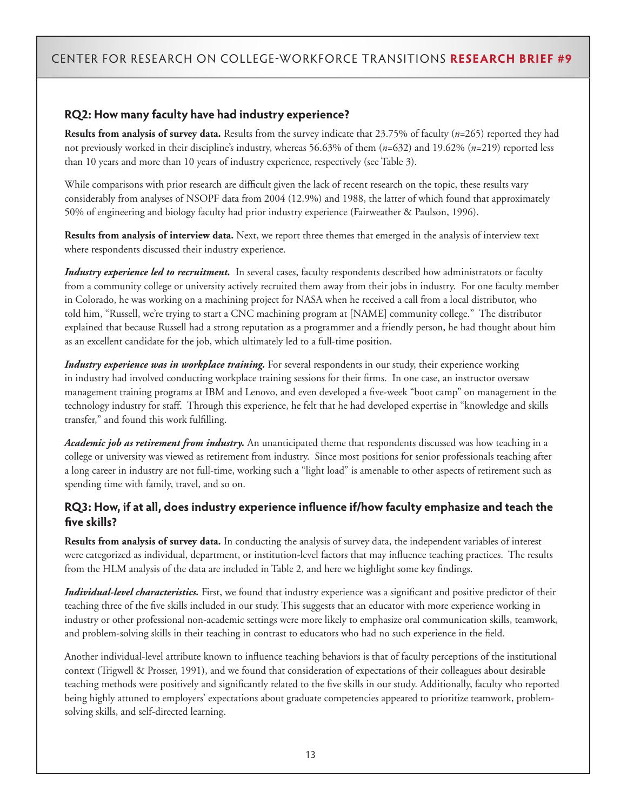### **RQ2: How many faculty have had industry experience?**

**Results from analysis of survey data.** Results from the survey indicate that 23.75% of faculty (*n*=265) reported they had not previously worked in their discipline's industry, whereas 56.63% of them (*n*=632) and 19.62% (*n*=219) reported less than 10 years and more than 10 years of industry experience, respectively (see Table 3).

While comparisons with prior research are difficult given the lack of recent research on the topic, these results vary considerably from analyses of NSOPF data from 2004 (12.9%) and 1988, the latter of which found that approximately 50% of engineering and biology faculty had prior industry experience (Fairweather & Paulson, 1996).

**Results from analysis of interview data.** Next, we report three themes that emerged in the analysis of interview text where respondents discussed their industry experience.

*Industry experience led to recruitment.* In several cases, faculty respondents described how administrators or faculty from a community college or university actively recruited them away from their jobs in industry. For one faculty member in Colorado, he was working on a machining project for NASA when he received a call from a local distributor, who told him, "Russell, we're trying to start a CNC machining program at [NAME] community college." The distributor explained that because Russell had a strong reputation as a programmer and a friendly person, he had thought about him as an excellent candidate for the job, which ultimately led to a full-time position.

*Industry experience was in workplace training*. For several respondents in our study, their experience working in industry had involved conducting workplace training sessions for their firms. In one case, an instructor oversaw management training programs at IBM and Lenovo, and even developed a five-week "boot camp" on management in the technology industry for staff. Through this experience, he felt that he had developed expertise in "knowledge and skills transfer," and found this work fulfilling.

*Academic job as retirement from industry.* An unanticipated theme that respondents discussed was how teaching in a college or university was viewed as retirement from industry. Since most positions for senior professionals teaching after a long career in industry are not full-time, working such a "light load" is amenable to other aspects of retirement such as spending time with family, travel, and so on.

### **RQ3: How, if at all, does industry experience influence if/how faculty emphasize and teach the five skills?**

**Results from analysis of survey data.** In conducting the analysis of survey data, the independent variables of interest were categorized as individual, department, or institution-level factors that may influence teaching practices. The results from the HLM analysis of the data are included in Table 2, and here we highlight some key findings.

*Individual-level characteristics.* First, we found that industry experience was a significant and positive predictor of their teaching three of the five skills included in our study. This suggests that an educator with more experience working in industry or other professional non-academic settings were more likely to emphasize oral communication skills, teamwork, and problem-solving skills in their teaching in contrast to educators who had no such experience in the field.

Another individual-level attribute known to influence teaching behaviors is that of faculty perceptions of the institutional context (Trigwell & Prosser, 1991), and we found that consideration of expectations of their colleagues about desirable teaching methods were positively and significantly related to the five skills in our study. Additionally, faculty who reported being highly attuned to employers' expectations about graduate competencies appeared to prioritize teamwork, problemsolving skills, and self-directed learning.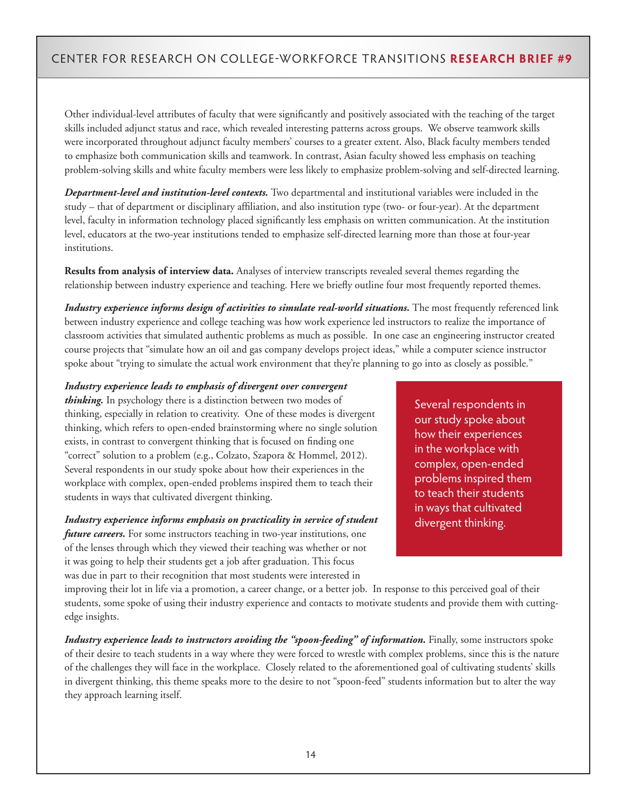Other individual-level attributes of faculty that were significantly and positively associated with the teaching of the target skills included adjunct status and race, which revealed interesting patterns across groups. We observe teamwork skills were incorporated throughout adjunct faculty members' courses to a greater extent. Also, Black faculty members tended to emphasize both communication skills and teamwork. In contrast, Asian faculty showed less emphasis on teaching problem-solving skills and white faculty members were less likely to emphasize problem-solving and self-directed learning.

*Department-level and institution-level contexts.* Two departmental and institutional variables were included in the study – that of department or disciplinary affiliation, and also institution type (two- or four-year). At the department level, faculty in information technology placed significantly less emphasis on written communication. At the institution level, educators at the two-year institutions tended to emphasize self-directed learning more than those at four-year institutions.

**Results from analysis of interview data.** Analyses of interview transcripts revealed several themes regarding the relationship between industry experience and teaching. Here we briefly outline four most frequently reported themes.

*Industry experience informs design of activities to simulate real-world situations*. The most frequently referenced link between industry experience and college teaching was how work experience led instructors to realize the importance of classroom activities that simulated authentic problems as much as possible. In one case an engineering instructor created course projects that "simulate how an oil and gas company develops project ideas," while a computer science instructor spoke about "trying to simulate the actual work environment that they're planning to go into as closely as possible."

#### *Industry experience leads to emphasis of divergent over convergent*

*thinking.* In psychology there is a distinction between two modes of thinking, especially in relation to creativity. One of these modes is divergent thinking, which refers to open-ended brainstorming where no single solution exists, in contrast to convergent thinking that is focused on finding one "correct" solution to a problem (e.g., Colzato, Szapora & Hommel, 2012). Several respondents in our study spoke about how their experiences in the workplace with complex, open-ended problems inspired them to teach their students in ways that cultivated divergent thinking.

#### *Industry experience informs emphasis on practicality in service of student*

*future careers*. For some instructors teaching in two-year institutions, one of the lenses through which they viewed their teaching was whether or not it was going to help their students get a job after graduation. This focus was due in part to their recognition that most students were interested in

Several respondents in our study spoke about how their experiences in the workplace with complex, open-ended problems inspired them to teach their students in ways that cultivated divergent thinking.

improving their lot in life via a promotion, a career change, or a better job. In response to this perceived goal of their students, some spoke of using their industry experience and contacts to motivate students and provide them with cuttingedge insights.

*Industry experience leads to instructors avoiding the "spoon-feeding" of information*. Finally, some instructors spoke of their desire to teach students in a way where they were forced to wrestle with complex problems, since this is the nature of the challenges they will face in the workplace. Closely related to the aforementioned goal of cultivating students' skills in divergent thinking, this theme speaks more to the desire to not "spoon-feed" students information but to alter the way they approach learning itself.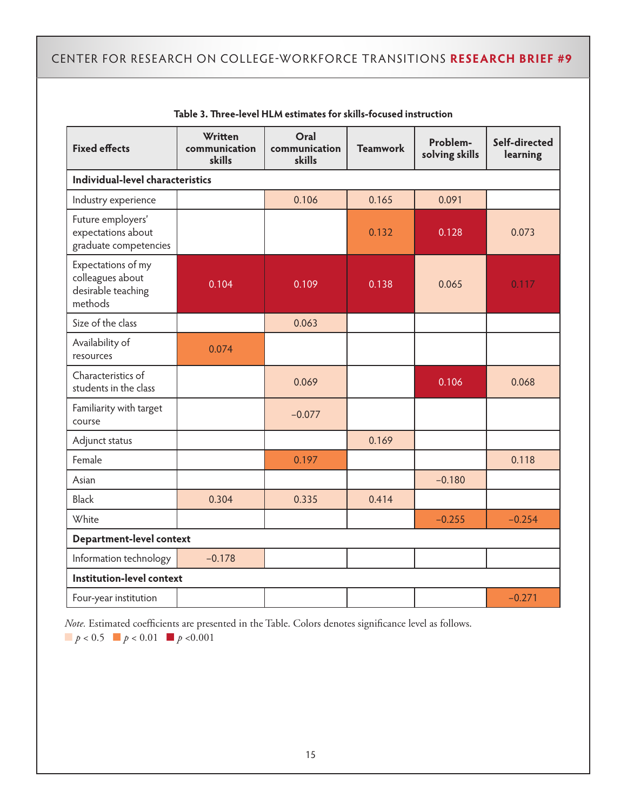| <b>Fixed effects</b>                                                    | Written<br>communication<br>skills | Oral<br>communication<br>skills | <b>Teamwork</b> | Problem-<br>solving skills | Self-directed<br>learning |
|-------------------------------------------------------------------------|------------------------------------|---------------------------------|-----------------|----------------------------|---------------------------|
| Individual-level characteristics                                        |                                    |                                 |                 |                            |                           |
| Industry experience                                                     |                                    | 0.106                           | 0.165           | 0.091                      |                           |
| Future employers'<br>expectations about<br>graduate competencies        |                                    |                                 | 0.132           | 0.128                      | 0.073                     |
| Expectations of my<br>colleagues about<br>desirable teaching<br>methods | 0.104                              | 0.109                           | 0.138           | 0.065                      | 0.117                     |
| Size of the class                                                       |                                    | 0.063                           |                 |                            |                           |
| Availability of<br>resources                                            | 0.074                              |                                 |                 |                            |                           |
| Characteristics of<br>students in the class                             |                                    | 0.069                           |                 | 0.106                      | 0.068                     |
| Familiarity with target<br>course                                       |                                    | $-0.077$                        |                 |                            |                           |
| Adjunct status                                                          |                                    |                                 | 0.169           |                            |                           |
| Female                                                                  |                                    | 0.197                           |                 |                            | 0.118                     |
| Asian                                                                   |                                    |                                 |                 | $-0.180$                   |                           |
| <b>Black</b>                                                            | 0.304                              | 0.335                           | 0.414           |                            |                           |
| White                                                                   |                                    |                                 |                 | $-0.255$                   | $-0.254$                  |
| Department-level context                                                |                                    |                                 |                 |                            |                           |
| Information technology                                                  | $-0.178$                           |                                 |                 |                            |                           |
| Institution-level context                                               |                                    |                                 |                 |                            |                           |
| Four-year institution                                                   |                                    |                                 |                 |                            | $-0.271$                  |

| Table 3. Three-level HLM estimates for skills-focused instruction |
|-------------------------------------------------------------------|
|-------------------------------------------------------------------|

*Note.* Estimated coefficients are presented in the Table. Colors denotes significance level as follows.

 $\blacksquare$  *p* < 0.5  $\blacksquare$  *p* < 0.01  $\blacksquare$  *p* < 0.001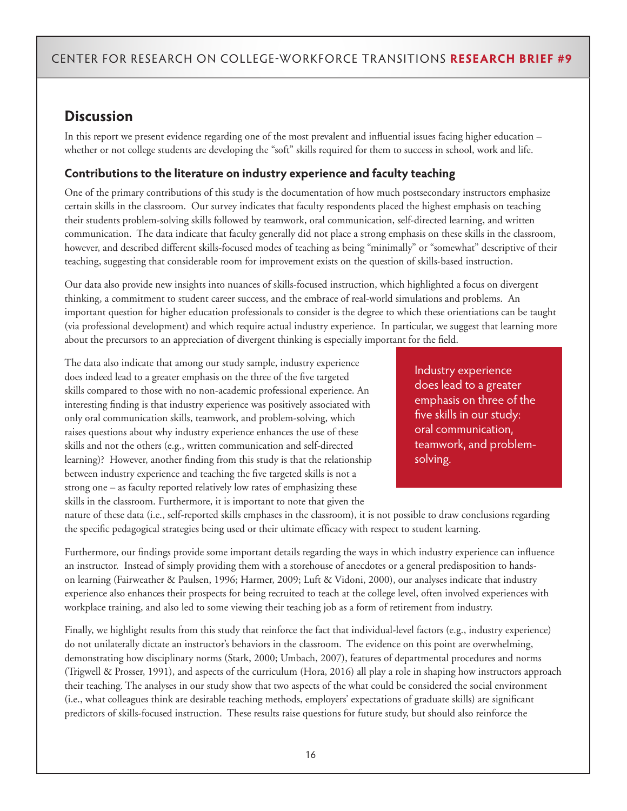## **Discussion**

In this report we present evidence regarding one of the most prevalent and influential issues facing higher education – whether or not college students are developing the "soft" skills required for them to success in school, work and life.

## **Contributions to the literature on industry experience and faculty teaching**

One of the primary contributions of this study is the documentation of how much postsecondary instructors emphasize certain skills in the classroom. Our survey indicates that faculty respondents placed the highest emphasis on teaching their students problem-solving skills followed by teamwork, oral communication, self-directed learning, and written communication. The data indicate that faculty generally did not place a strong emphasis on these skills in the classroom, however, and described different skills-focused modes of teaching as being "minimally" or "somewhat" descriptive of their teaching, suggesting that considerable room for improvement exists on the question of skills-based instruction.

Our data also provide new insights into nuances of skills-focused instruction, which highlighted a focus on divergent thinking, a commitment to student career success, and the embrace of real-world simulations and problems. An important question for higher education professionals to consider is the degree to which these orientiations can be taught (via professional development) and which require actual industry experience. In particular, we suggest that learning more about the precursors to an appreciation of divergent thinking is especially important for the field.

The data also indicate that among our study sample, industry experience does indeed lead to a greater emphasis on the three of the five targeted skills compared to those with no non-academic professional experience. An interesting finding is that industry experience was positively associated with only oral communication skills, teamwork, and problem-solving, which raises questions about why industry experience enhances the use of these skills and not the others (e.g., written communication and self-directed learning)? However, another finding from this study is that the relationship between industry experience and teaching the five targeted skills is not a strong one – as faculty reported relatively low rates of emphasizing these skills in the classroom. Furthermore, it is important to note that given the

Industry experience does lead to a greater emphasis on three of the five skills in our study: oral communication, teamwork, and problemsolving.

nature of these data (i.e., self-reported skills emphases in the classroom), it is not possible to draw conclusions regarding the specific pedagogical strategies being used or their ultimate efficacy with respect to student learning.

Furthermore, our findings provide some important details regarding the ways in which industry experience can influence an instructor. Instead of simply providing them with a storehouse of anecdotes or a general predisposition to handson learning (Fairweather & Paulsen, 1996; Harmer, 2009; Luft & Vidoni, 2000), our analyses indicate that industry experience also enhances their prospects for being recruited to teach at the college level, often involved experiences with workplace training, and also led to some viewing their teaching job as a form of retirement from industry.

Finally, we highlight results from this study that reinforce the fact that individual-level factors (e.g., industry experience) do not unilaterally dictate an instructor's behaviors in the classroom. The evidence on this point are overwhelming, demonstrating how disciplinary norms (Stark, 2000; Umbach, 2007), features of departmental procedures and norms (Trigwell & Prosser, 1991), and aspects of the curriculum (Hora, 2016) all play a role in shaping how instructors approach their teaching. The analyses in our study show that two aspects of the what could be considered the social environment (i.e., what colleagues think are desirable teaching methods, employers' expectations of graduate skills) are significant predictors of skills-focused instruction. These results raise questions for future study, but should also reinforce the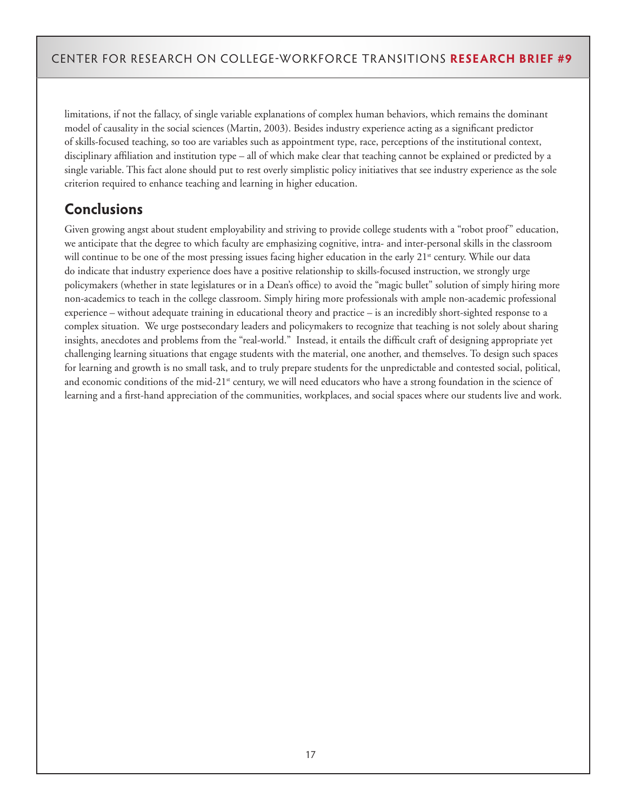limitations, if not the fallacy, of single variable explanations of complex human behaviors, which remains the dominant model of causality in the social sciences (Martin, 2003). Besides industry experience acting as a significant predictor of skills-focused teaching, so too are variables such as appointment type, race, perceptions of the institutional context, disciplinary affiliation and institution type – all of which make clear that teaching cannot be explained or predicted by a single variable. This fact alone should put to rest overly simplistic policy initiatives that see industry experience as the sole criterion required to enhance teaching and learning in higher education.

## **Conclusions**

Given growing angst about student employability and striving to provide college students with a "robot proof" education, we anticipate that the degree to which faculty are emphasizing cognitive, intra- and inter-personal skills in the classroom will continue to be one of the most pressing issues facing higher education in the early  $21<sup>st</sup>$  century. While our data do indicate that industry experience does have a positive relationship to skills-focused instruction, we strongly urge policymakers (whether in state legislatures or in a Dean's office) to avoid the "magic bullet" solution of simply hiring more non-academics to teach in the college classroom. Simply hiring more professionals with ample non-academic professional experience – without adequate training in educational theory and practice – is an incredibly short-sighted response to a complex situation. We urge postsecondary leaders and policymakers to recognize that teaching is not solely about sharing insights, anecdotes and problems from the "real-world." Instead, it entails the difficult craft of designing appropriate yet challenging learning situations that engage students with the material, one another, and themselves. To design such spaces for learning and growth is no small task, and to truly prepare students for the unpredictable and contested social, political, and economic conditions of the mid-21<sup>st</sup> century, we will need educators who have a strong foundation in the science of learning and a first-hand appreciation of the communities, workplaces, and social spaces where our students live and work.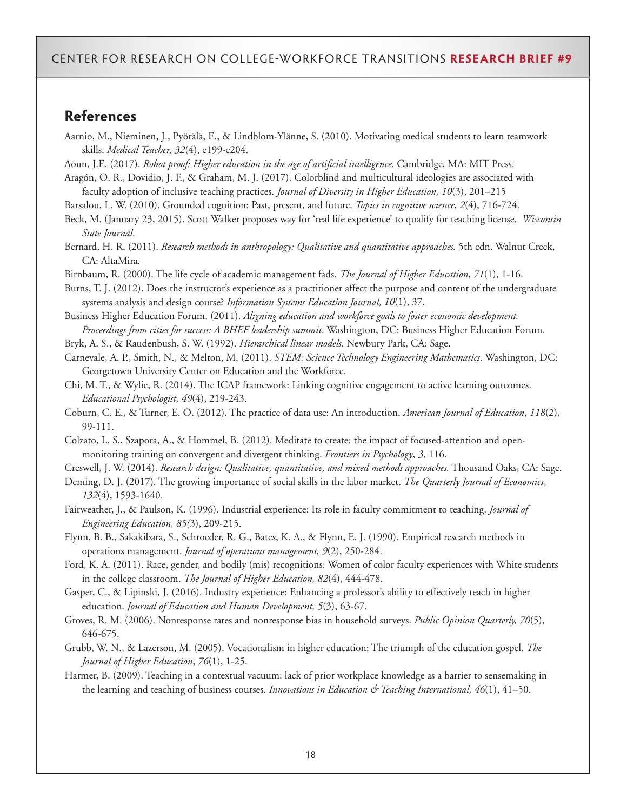### **References**

Aarnio, M., Nieminen, J., Pyörälä, E., & Lindblom-Ylänne, S. (2010). Motivating medical students to learn teamwork skills. *Medical Teacher, 32*(4), e199-e204.

Aoun, J.E. (2017). *Robot proof: Higher education in the age of artificial intelligence*. Cambridge, MA: MIT Press.

Aragón, O. R., Dovidio, J. F., & Graham, M. J. (2017). Colorblind and multicultural ideologies are associated with faculty adoption of inclusive teaching practices*. Journal of Diversity in Higher Education, 10*(3), 201–215

Barsalou, L. W. (2010). Grounded cognition: Past, present, and future. *Topics in cognitive science*, *2*(4), 716-724.

Beck, M. (January 23, 2015). Scott Walker proposes way for 'real life experience' to qualify for teaching license. *Wisconsin State Journal*.

Bernard, H. R. (2011). *Research methods in anthropology: Qualitative and quantitative approaches.* 5th edn. Walnut Creek, CA: AltaMira.

Birnbaum, R. (2000). The life cycle of academic management fads. *The Journal of Higher Education*, *71*(1), 1-16.

Burns, T. J. (2012). Does the instructor's experience as a practitioner affect the purpose and content of the undergraduate systems analysis and design course? *Information Systems Education Journal*, *10*(1), 37.

Business Higher Education Forum. (2011). *Aligning education and workforce goals to foster economic development. Proceedings from cities for success: A BHEF leadership summit*. Washington, DC: Business Higher Education Forum.

Bryk, A. S., & Raudenbush, S. W. (1992). *Hierarchical linear models*. Newbury Park, CA: Sage.

Carnevale, A. P., Smith, N., & Melton, M. (2011). *STEM: Science Technology Engineering Mathematics*. Washington, DC: Georgetown University Center on Education and the Workforce.

Chi, M. T., & Wylie, R. (2014). The ICAP framework: Linking cognitive engagement to active learning outcomes. *Educational Psychologist, 49*(4), 219-243.

Coburn, C. E., & Turner, E. O. (2012). The practice of data use: An introduction. *American Journal of Education*, *118*(2), 99-111.

Colzato, L. S., Szapora, A., & Hommel, B. (2012). Meditate to create: the impact of focused-attention and openmonitoring training on convergent and divergent thinking. *Frontiers in Psychology*, *3*, 116.

Creswell, J. W. (2014). *Research design: Qualitative, quantitative, and mixed methods approaches.* Thousand Oaks, CA: Sage.

Deming, D. J. (2017). The growing importance of social skills in the labor market. *The Quarterly Journal of Economics*, *132*(4), 1593-1640.

Fairweather, J., & Paulson, K. (1996). Industrial experience: Its role in faculty commitment to teaching. *Journal of Engineering Education, 85(*3), 209-215.

Flynn, B. B., Sakakibara, S., Schroeder, R. G., Bates, K. A., & Flynn, E. J. (1990). Empirical research methods in operations management. *Journal of operations management, 9*(2), 250-284.

Ford, K. A. (2011). Race, gender, and bodily (mis) recognitions: Women of color faculty experiences with White students in the college classroom. *The Journal of Higher Education, 82*(4), 444-478.

Gasper, C., & Lipinski, J. (2016). Industry experience: Enhancing a professor's ability to effectively teach in higher education. *Journal of Education and Human Development, 5*(3), 63-67.

Groves, R. M. (2006). Nonresponse rates and nonresponse bias in household surveys. *Public Opinion Quarterly, 70*(5), 646-675.

Grubb, W. N., & Lazerson, M. (2005). Vocationalism in higher education: The triumph of the education gospel. *The Journal of Higher Education*, *76*(1), 1-25.

Harmer, B. (2009). Teaching in a contextual vacuum: lack of prior workplace knowledge as a barrier to sensemaking in the learning and teaching of business courses. *Innovations in Education & Teaching International, 46*(1), 41–50.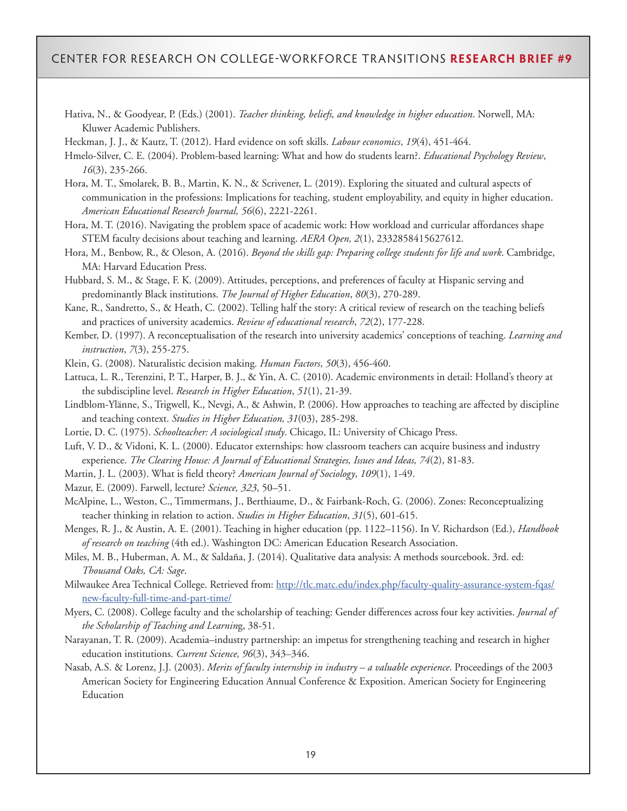Hativa, N., & Goodyear, P. (Eds.) (2001). *Teacher thinking, beliefs, and knowledge in higher education*. Norwell, MA: Kluwer Academic Publishers.

Heckman, J. J., & Kautz, T. (2012). Hard evidence on soft skills. *Labour economics*, *19*(4), 451-464.

Hmelo-Silver, C. E. (2004). Problem-based learning: What and how do students learn?. *Educational Psychology Review*, *16*(3), 235-266.

Hora, M. T., Smolarek, B. B., Martin, K. N., & Scrivener, L. (2019). Exploring the situated and cultural aspects of communication in the professions: Implications for teaching, student employability, and equity in higher education. *American Educational Research Journal, 56*(6), 2221-2261.

Hora, M. T. (2016). Navigating the problem space of academic work: How workload and curricular affordances shape STEM faculty decisions about teaching and learning. *AERA Open, 2*(1), 2332858415627612.

Hora, M., Benbow, R., & Oleson, A. (2016). *Beyond the skills gap: Preparing college students for life and work*. Cambridge, MA: Harvard Education Press.

Hubbard, S. M., & Stage, F. K. (2009). Attitudes, perceptions, and preferences of faculty at Hispanic serving and predominantly Black institutions. *The Journal of Higher Education*, *80*(3), 270-289.

Kane, R., Sandretto, S., & Heath, C. (2002). Telling half the story: A critical review of research on the teaching beliefs and practices of university academics. *Review of educational research*, *72*(2), 177-228.

Kember, D. (1997). A reconceptualisation of the research into university academics' conceptions of teaching. *Learning and instruction*, *7*(3), 255-275.

Klein, G. (2008). Naturalistic decision making. *Human Factors*, *50*(3), 456-460.

Lattuca, L. R., Terenzini, P. T., Harper, B. J., & Yin, A. C. (2010). Academic environments in detail: Holland's theory at the subdiscipline level. *Research in Higher Education*, *51*(1), 21-39.

Lindblom-Ylänne, S., Trigwell, K., Nevgi, A., & Ashwin, P. (2006). How approaches to teaching are affected by discipline and teaching context. *Studies in Higher Education, 31*(03), 285-298.

Lortie, D. C. (1975). *Schoolteacher: A sociological study*. Chicago, IL: University of Chicago Press.

Luft, V. D., & Vidoni, K. L. (2000). Educator externships: how classroom teachers can acquire business and industry experience. *The Clearing House: A Journal of Educational Strategies, Issues and Ideas, 74*(2), 81-83.

Martin, J. L. (2003). What is field theory? *American Journal of Sociology*, *109*(1), 1-49.

Mazur, E. (2009). Farwell, lecture? *Science, 323*, 50–51.

McAlpine, L., Weston, C., Timmermans, J., Berthiaume, D., & Fairbank-Roch, G. (2006). Zones: Reconceptualizing teacher thinking in relation to action. *Studies in Higher Education*, *31*(5), 601-615.

Menges, R. J., & Austin, A. E. (2001). Teaching in higher education (pp. 1122–1156). In V. Richardson (Ed.), *Handbook of research on teaching* (4th ed.). Washington DC: American Education Research Association.

Miles, M. B., Huberman, A. M., & Saldaña, J. (2014). Qualitative data analysis: A methods sourcebook. 3rd. ed: *Thousand Oaks, CA: Sage*.

Milwaukee Area Technical College. Retrieved from: [http://tlc.matc.edu/index.php/faculty-quality-assurance-system-fqas/](http://tlc.matc.edu/index.php/faculty-quality-assurance-system-fqas/new-faculty-full-time-and-part-time/) [new-faculty-full-time-and-part-time/](http://tlc.matc.edu/index.php/faculty-quality-assurance-system-fqas/new-faculty-full-time-and-part-time/)

Myers, C. (2008). College faculty and the scholarship of teaching: Gender differences across four key activities. *Journal of the Scholarship of Teaching and Learnin*g, 38-51.

Narayanan, T. R. (2009). Academia–industry partnership: an impetus for strengthening teaching and research in higher education institutions. *Current Science, 96*(3), 343–346.

Nasab, A.S. & Lorenz, J.J. (2003). *Merits of faculty internship in industry – a valuable experience*. Proceedings of the 2003 American Society for Engineering Education Annual Conference & Exposition. American Society for Engineering Education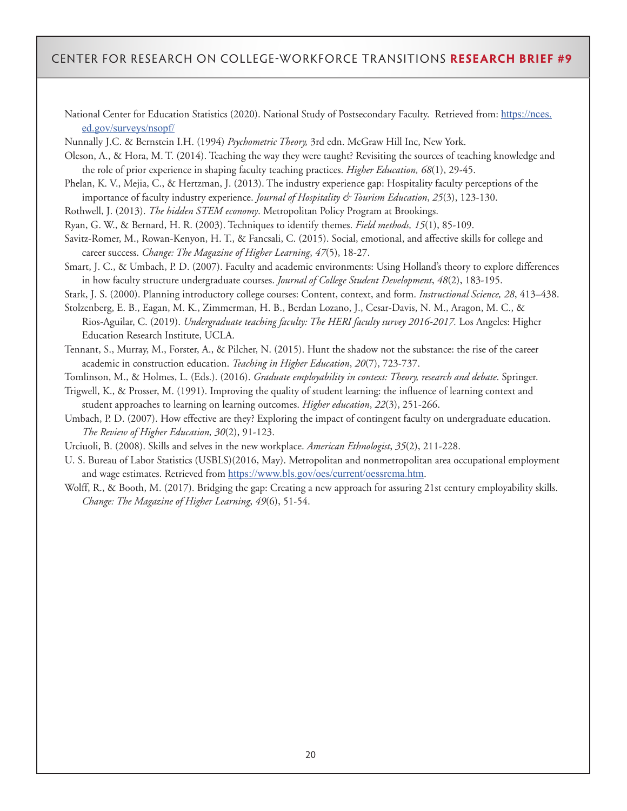National Center for Education Statistics (2020). National Study of Postsecondary Faculty. Retrieved from: [https://nces.](https://nces.ed.gov/surveys/nsopf/) [ed.gov/surveys/nsopf/](https://nces.ed.gov/surveys/nsopf/)

Nunnally J.C. & Bernstein I.H. (1994) *Psychometric Theory,* 3rd edn. McGraw‐Hill Inc, New York.

Oleson, A., & Hora, M. T. (2014). Teaching the way they were taught? Revisiting the sources of teaching knowledge and the role of prior experience in shaping faculty teaching practices. *Higher Education, 68*(1), 29-45.

Phelan, K. V., Mejia, C., & Hertzman, J. (2013). The industry experience gap: Hospitality faculty perceptions of the importance of faculty industry experience. *Journal of Hospitality & Tourism Education*, *25*(3), 123-130.

Rothwell, J. (2013). *The hidden STEM economy*. Metropolitan Policy Program at Brookings.

Ryan, G. W., & Bernard, H. R. (2003). Techniques to identify themes. *Field methods, 15*(1), 85-109.

Savitz-Romer, M., Rowan-Kenyon, H. T., & Fancsali, C. (2015). Social, emotional, and affective skills for college and career success. *Change: The Magazine of Higher Learning*, *47*(5), 18-27.

Smart, J. C., & Umbach, P. D. (2007). Faculty and academic environments: Using Holland's theory to explore differences in how faculty structure undergraduate courses. *Journal of College Student Development*, *48*(2), 183-195.

Stark, J. S. (2000). Planning introductory college courses: Content, context, and form. *Instructional Science, 28*, 413–438.

Stolzenberg, E. B., Eagan, M. K., Zimmerman, H. B., Berdan Lozano, J., Cesar-Davis, N. M., Aragon, M. C., & Rios-Aguilar, C. (2019). *Undergraduate teaching faculty: The HERI faculty survey 2016-2017.* Los Angeles: Higher Education Research Institute, UCLA.

Tennant, S., Murray, M., Forster, A., & Pilcher, N. (2015). Hunt the shadow not the substance: the rise of the career academic in construction education. *Teaching in Higher Education*, *20*(7), 723-737.

Tomlinson, M., & Holmes, L. (Eds.). (2016). *Graduate employability in context: Theory, research and debate*. Springer.

Trigwell, K., & Prosser, M. (1991). Improving the quality of student learning: the influence of learning context and student approaches to learning on learning outcomes. *Higher education*, *22*(3), 251-266.

Umbach, P. D. (2007). How effective are they? Exploring the impact of contingent faculty on undergraduate education. *The Review of Higher Education, 30*(2), 91-123.

Urciuoli, B. (2008). Skills and selves in the new workplace. *American Ethnologist*, *35*(2), 211-228.

U. S. Bureau of Labor Statistics (USBLS)(2016, May). Metropolitan and nonmetropolitan area occupational employment and wage estimates. Retrieved from <https://www.bls.gov/oes/current/oessrcma.htm>.

Wolff, R., & Booth, M. (2017). Bridging the gap: Creating a new approach for assuring 21st century employability skills. *Change: The Magazine of Higher Learning*, *49*(6), 51-54.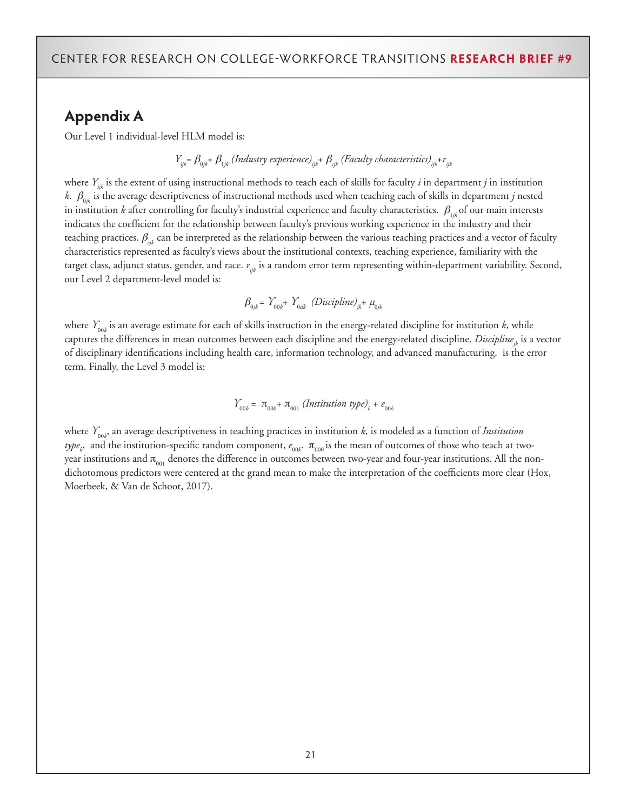## **Appendix A**

Our Level 1 individual-level HLM model is:

$$
Y_{ijk} = \beta_{0jk} + \beta_{1jk}
$$
 (Industry experience)<sub>ijk</sub> + 
$$
\beta_{ijk}
$$
 (Faculty characteristics)<sub>ijk</sub> + 
$$
r_{ijk}
$$

where *Yijk* is the extent of using instructional methods to teach each of skills for faculty *i* in department *j* in institution *k*.  $\beta_{0jk}$  is the average descriptiveness of instructional methods used when teaching each of skills in department *j* nested in institution *k* after controlling for faculty's industrial experience and faculty characteristics.  $\beta_{ijk}$  of our main interests indicates the coefficient for the relationship between faculty's previous working experience in the industry and their teaching practices. β*cjk* can be interpreted as the relationship between the various teaching practices and a vector of faculty characteristics represented as faculty's views about the institutional contexts, teaching experience, familiarity with the target class, adjunct status, gender, and race.  $r_{ik}$  is a random error term representing within-department variability. Second, our Level 2 department-level model is:

$$
\beta_{0jk} = Y_{00k} + Y_{0dk} \text{ (Discipline)}_{jk} + \mu_{0jk}
$$

where  $Y_{_{00k}}$  is an average estimate for each of skills instruction in the energy-related discipline for institution *k*, while captures the differences in mean outcomes between each discipline and the energy-related discipline. *Discipline<sub>ik</sub>* is a vector of disciplinary identifications including health care, information technology, and advanced manufacturing. is the error term. Finally, the Level 3 model is:

$$
Y_{00k} = \pi_{000} + \pi_{001}
$$
 (Institution type)<sub>k</sub> +  $e_{00k}$ 

where  $Y_{_{00k}}$  an average descriptiveness in teaching practices in institution *k,* is modeled as a function of *Institution type<sub>k</sub>,* and the institution-specific random component,  $e_{_{00k}}.$  π<sub>000</sub> is the mean of outcomes of those who teach at twoyear institutions and  $\pi_{001}$  denotes the difference in outcomes between two-year and four-year institutions. All the nondichotomous predictors were centered at the grand mean to make the interpretation of the coefficients more clear (Hox, Moerbeek, & Van de Schoot, 2017).